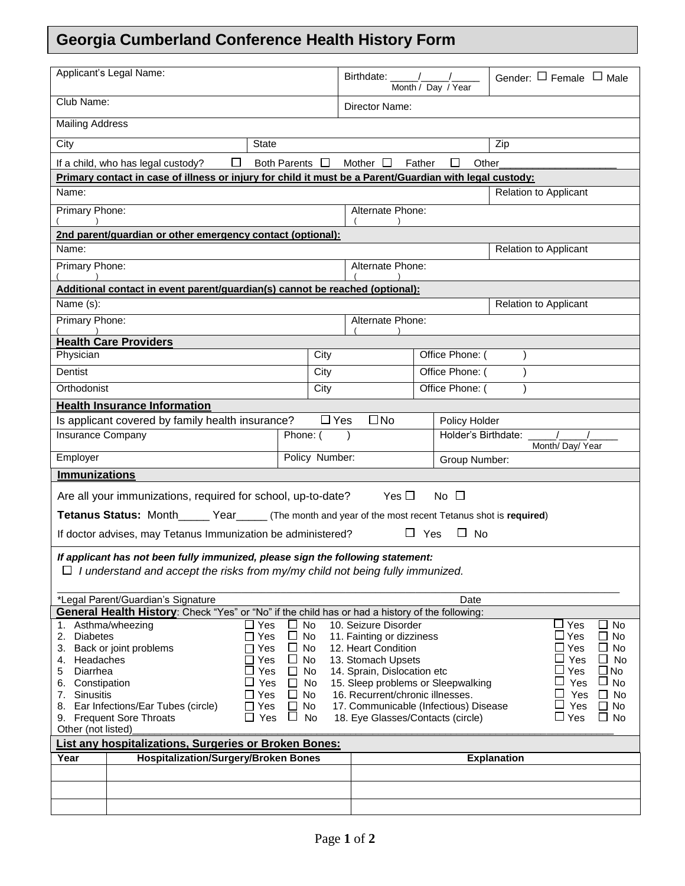## **Georgia Cumberland Conference Health History Form**

| Applicant's Legal Name:                                                                                                                                                                                                     |                                                                                                         |                     |            | Birthdate:<br>Month / Day / Year  |        |                     | Gender: $\Box$ Female $\Box$ Male |  |
|-----------------------------------------------------------------------------------------------------------------------------------------------------------------------------------------------------------------------------|---------------------------------------------------------------------------------------------------------|---------------------|------------|-----------------------------------|--------|---------------------|-----------------------------------|--|
| Club Name:                                                                                                                                                                                                                  |                                                                                                         |                     |            | Director Name:                    |        |                     |                                   |  |
| <b>Mailing Address</b>                                                                                                                                                                                                      |                                                                                                         |                     |            |                                   |        |                     |                                   |  |
| City                                                                                                                                                                                                                        | State                                                                                                   |                     |            | Zip                               |        |                     |                                   |  |
|                                                                                                                                                                                                                             | If a child, who has legal custody?<br>⊔                                                                 | Both Parents $\Box$ |            | Mother $\square$                  | Father | Other               |                                   |  |
|                                                                                                                                                                                                                             | Primary contact in case of illness or injury for child it must be a Parent/Guardian with legal custody: |                     |            |                                   |        |                     |                                   |  |
| Name:                                                                                                                                                                                                                       |                                                                                                         |                     |            |                                   |        |                     | <b>Relation to Applicant</b>      |  |
| Primary Phone:                                                                                                                                                                                                              |                                                                                                         |                     |            | Alternate Phone:                  |        |                     |                                   |  |
|                                                                                                                                                                                                                             | 2nd parent/guardian or other emergency contact (optional):                                              |                     |            |                                   |        |                     |                                   |  |
| Name:                                                                                                                                                                                                                       | Relation to Applicant                                                                                   |                     |            |                                   |        |                     |                                   |  |
| Primary Phone:                                                                                                                                                                                                              |                                                                                                         |                     |            | Alternate Phone:                  |        |                     |                                   |  |
|                                                                                                                                                                                                                             | Additional contact in event parent/guardian(s) cannot be reached (optional):                            |                     |            |                                   |        |                     |                                   |  |
| Name (s):                                                                                                                                                                                                                   |                                                                                                         |                     |            |                                   |        |                     | Relation to Applicant             |  |
| Primary Phone:                                                                                                                                                                                                              |                                                                                                         |                     |            | Alternate Phone:                  |        |                     |                                   |  |
|                                                                                                                                                                                                                             | <b>Health Care Providers</b>                                                                            |                     |            |                                   |        |                     |                                   |  |
| Physician                                                                                                                                                                                                                   |                                                                                                         |                     | City       | Office Phone: (                   |        |                     |                                   |  |
| Dentist                                                                                                                                                                                                                     |                                                                                                         |                     | City       |                                   |        | Office Phone: (     |                                   |  |
| Orthodonist                                                                                                                                                                                                                 |                                                                                                         |                     | City       |                                   |        | Office Phone: (     |                                   |  |
|                                                                                                                                                                                                                             | <b>Health Insurance Information</b>                                                                     |                     |            |                                   |        |                     |                                   |  |
|                                                                                                                                                                                                                             | Is applicant covered by family health insurance?                                                        |                     | $\Box$ Yes | $\square$ No                      |        | Policy Holder       |                                   |  |
| <b>Insurance Company</b>                                                                                                                                                                                                    |                                                                                                         | Phone: (            |            |                                   |        | Holder's Birthdate: |                                   |  |
| Employer                                                                                                                                                                                                                    |                                                                                                         | Policy Number:      |            | Month/ Day/ Year<br>Group Number: |        |                     |                                   |  |
| <b>Immunizations</b>                                                                                                                                                                                                        |                                                                                                         |                     |            |                                   |        |                     |                                   |  |
|                                                                                                                                                                                                                             |                                                                                                         |                     |            |                                   |        |                     |                                   |  |
|                                                                                                                                                                                                                             | Are all your immunizations, required for school, up-to-date?                                            |                     |            | Yes $\Box$                        |        | No $\Box$           |                                   |  |
|                                                                                                                                                                                                                             | Tetanus Status: Month______ Year______ (The month and year of the most recent Tetanus shot is required) |                     |            |                                   |        |                     |                                   |  |
| $\Box$ Yes<br>$\Box$ No<br>If doctor advises, may Tetanus Immunization be administered?                                                                                                                                     |                                                                                                         |                     |            |                                   |        |                     |                                   |  |
| If applicant has not been fully immunized, please sign the following statement:                                                                                                                                             |                                                                                                         |                     |            |                                   |        |                     |                                   |  |
| $\Box$ I understand and accept the risks from my/my child not being fully immunized.                                                                                                                                        |                                                                                                         |                     |            |                                   |        |                     |                                   |  |
|                                                                                                                                                                                                                             |                                                                                                         |                     |            |                                   |        |                     |                                   |  |
| *Legal Parent/Guardian's Signature<br>Date                                                                                                                                                                                  |                                                                                                         |                     |            |                                   |        |                     |                                   |  |
| General Health History: Check "Yes" or "No" if the child has or had a history of the following:                                                                                                                             |                                                                                                         |                     |            |                                   |        |                     |                                   |  |
| 10. Seizure Disorder<br>Asthma/wheezing<br>Yes<br>No<br>$\Box$ Yes<br>No<br>1.<br>$\Box$ Yes<br><b>Diabetes</b><br>$\Box$<br>No<br>11. Fainting or dizziness<br>No<br>2.<br>Yes<br>$\Box$                                   |                                                                                                         |                     |            |                                   |        |                     |                                   |  |
| $\Box$ No<br>Back or joint problems<br>12. Heart Condition<br>⊿ Yes<br>3.<br>Yes<br>ப                                                                                                                                       |                                                                                                         |                     |            |                                   |        | <b>No</b>           |                                   |  |
| 13. Stomach Upsets<br>Yes<br>Headaches<br>Yes<br>$\Box$<br>No<br>No<br>ப<br>4.                                                                                                                                              |                                                                                                         |                     |            |                                   |        |                     |                                   |  |
| Yes<br>$\square$ No<br>Diarrhea<br>Yes<br>14. Sprain, Dislocation etc<br>5<br>$\Box$<br>No                                                                                                                                  |                                                                                                         |                     |            |                                   |        |                     |                                   |  |
| Yes<br>No<br>15. Sleep problems or Sleepwalking<br>U<br>Yes<br>$\sqcup$ No<br>Constipation<br>6.<br>$\Box$<br>No<br>16. Recurrent/chronic illnesses.<br>Yes<br><b>Sinusitis</b><br>⊟ Yes<br>$\Box$ No<br>7.<br>$\mathsf{L}$ |                                                                                                         |                     |            |                                   |        |                     |                                   |  |
| ⊔<br>Yes<br>Ear Infections/Ear Tubes (circle)<br>17. Communicable (Infectious) Disease<br>$\Box$ Yes<br>No<br>$\Box$ No<br>8.<br>U                                                                                          |                                                                                                         |                     |            |                                   |        |                     |                                   |  |
| ப<br>No<br>18. Eye Glasses/Contacts (circle)<br>$\sqcup$ Yes<br>$\Box$ No<br><b>Frequent Sore Throats</b><br>Yes<br>$\mathsf{L}$<br>9.                                                                                      |                                                                                                         |                     |            |                                   |        |                     |                                   |  |
| Other (not listed)                                                                                                                                                                                                          |                                                                                                         |                     |            |                                   |        |                     |                                   |  |
| List any hospitalizations, Surgeries or Broken Bones:                                                                                                                                                                       |                                                                                                         |                     |            |                                   |        |                     |                                   |  |
| Year                                                                                                                                                                                                                        | <b>Hospitalization/Surgery/Broken Bones</b>                                                             |                     |            |                                   |        |                     | <b>Explanation</b>                |  |
|                                                                                                                                                                                                                             |                                                                                                         |                     |            |                                   |        |                     |                                   |  |
|                                                                                                                                                                                                                             |                                                                                                         |                     |            |                                   |        |                     |                                   |  |
|                                                                                                                                                                                                                             |                                                                                                         |                     |            |                                   |        |                     |                                   |  |